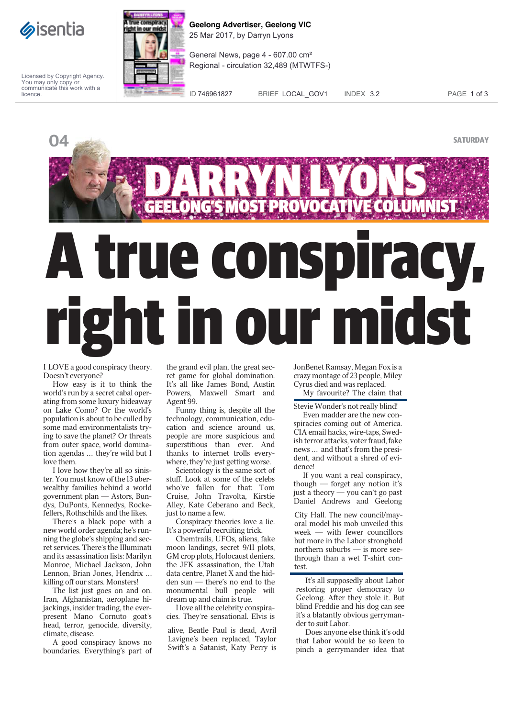

Licensed by Copyright Agency. You may only copy or communicate this work with a licence.



**Geelong Advertiser, Geelong VIC** 25 Mar 2017, by Darryn Lyons

General News, page 4 - 607.00 cm² Regional - circulation 32,489 (MTWTFS-)

ID 746961827 BRIEF LOCAL\_GOV1 INDEX 3.2 PAGE 1 of 3



I LOVE a good conspiracy theory. Doesn't everyone?

How easy is it to think the world's run by a secret cabal operating from some luxury hideaway on Lake Como? Or the world's population is about to be culled by some mad environmentalists trying to save the planet? Or threats from outer space, world domination agendas ... they're wild but I love them.

I love how they're all so sinister. You must know of the 13 uberwealthy families behind a world government plan — Astors, Bundys, DuPonts, Kennedys, Rockefellers, Rothschilds and the likes.

There's a black pope with a new world order agenda; he's running the globe's shipping and secret services. There's the Illuminati and its assassination lists: Marilyn Monroe, Michael Jackson, John Lennon, Brian Jones, Hendrix ... killing off our stars. Monsters!

The list just goes on and on. Iran, Afghanistan, aeroplane hijackings, insider trading, the everpresent Mano Cornuto goat's head, terror, genocide, diversity, climate, disease.

A good conspiracy knows no boundaries. Everything's part of the grand evil plan, the great secret game for global domination. It's all like James Bond, Austin Powers, Maxwell Smart and Agent 99.

Funny thing is, despite all the technology, communication, education and science around us, people are more suspicious and superstitious than ever. And thanks to internet trolls everywhere, they're just getting worse.

Scientology is the same sort of stuff. Look at some of the celebs who've fallen for that: Tom Cruise, John Travolta, Kirstie Alley, Kate Ceberano and Beck, just to name a few.

Conspiracy theories love a lie. It's a powerful recruiting trick.

Chemtrails, UFOs, aliens, fake moon landings, secret 9/11 plots, GM crop plots, Holocaust deniers, the JFK assassination, the Utah data centre, Planet X and the hidden sun — there's no end to the monumental bull people will dream up and claim is true.

I love all the celebrity conspiracies. They're sensational. Elvis is

alive, Beatle Paul is dead, Avril Lavigne's been replaced, Taylor Swift's a Satanist, Katy Perry is JonBenet Ramsay, Megan Fox is a crazy montage of 23 people, Miley Cyrus died and was replaced. My favourite? The claim that

Stevie Wonder's not really blind!

Even madder are the new conspiracies coming out of America. CIA email hacks, wire-taps, Swedish terror attacks, voter fraud, fake news ... and that's from the president, and without a shred of evidence!

If you want a real conspiracy, though — forget any notion it's just a theory — you can't go past Daniel Andrews and Geelong

City Hall. The new council/mayoral model his mob unveiled this week — with fewer councillors but more in the Labor stronghold northern suburbs — is more seethrough than a wet T-shirt contest.

It's all supposedly about Labor restoring proper democracy to Geelong. After they stole it. But blind Freddie and his dog can see it's a blatantly obvious gerrymander to suit Labor.

Does anyone else think it's odd that Labor would be so keen to pinch a gerrymander idea that